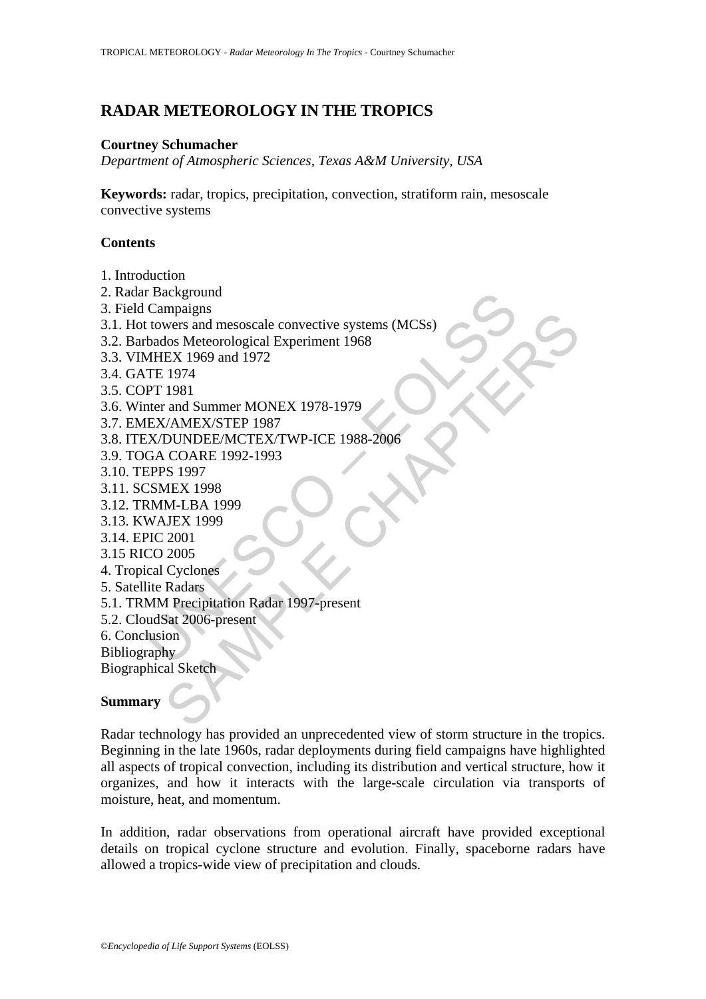# **RADAR METEOROLOGY IN THE TROPICS**

#### **Courtney Schumacher**

*Department of Atmospheric Sciences, Texas A&M University, USA* 

**Keywords:** radar, tropics, precipitation, convection, stratiform rain, mesoscale convective systems

## **Contents**

- 1. Introduction
- 2. Radar Background
- 3. Field Campaigns
- r Background<br>
Campaigns<br>
Campaigns<br>
University and mesoscale convective systems (MCSs)<br>
bados Meteorological Experiment 1968<br>
MHEX 1969 and 1972<br>
TE 1974<br>
PT 1981<br>
NEX/AMEX/STEP 1987<br>
UEX/AMEX/STEP 1987<br>
CEX/AMEX/STEP 1987 mpagns<br>
wers and mesoscale convective systems (MCSs)<br>
los Meteorological Experiment 1968<br>
EX 1969 and 1972<br>
1974<br>
1981<br>
1974<br>
1981<br>
and Summer MONEX 1978-1979<br>
DUNDEE/METER 1987<br>
DUNDEE/METER/TWP-ICE 1988-2006<br>
COARE 1992-3.1. Hot towers and mesoscale convective systems (MCSs)
- 3.2. Barbados Meteorological Experiment 1968
- 3.3. VIMHEX 1969 and 1972
- 3.4. GATE 1974
- 3.5. COPT 1981
- 3.6. Winter and Summer MONEX 1978-1979
- 3.7. EMEX/AMEX/STEP 1987
- 3.8. ITEX/DUNDEE/MCTEX/TWP-ICE 1988-2006
- 3.9. TOGA COARE 1992-1993
- 3.10. TEPPS 1997
- 3.11. SCSMEX 1998
- 3.12. TRMM-LBA 1999
- 3.13. KWAJEX 1999
- 3.14. EPIC 2001
- 3.15 RICO 2005
- 4. Tropical Cyclones
- 5. Satellite Radars
- 5.1. TRMM Precipitation Radar 1997-present
- 5.2. CloudSat 2006-present
- 6. Conclusion
- Bibliography

Biographical Sketch

## **Summary**

Radar technology has provided an unprecedented view of storm structure in the tropics. Beginning in the late 1960s, radar deployments during field campaigns have highlighted all aspects of tropical convection, including its distribution and vertical structure, how it organizes, and how it interacts with the large-scale circulation via transports of moisture, heat, and momentum.

In addition, radar observations from operational aircraft have provided exceptional details on tropical cyclone structure and evolution. Finally, spaceborne radars have allowed a tropics-wide view of precipitation and clouds.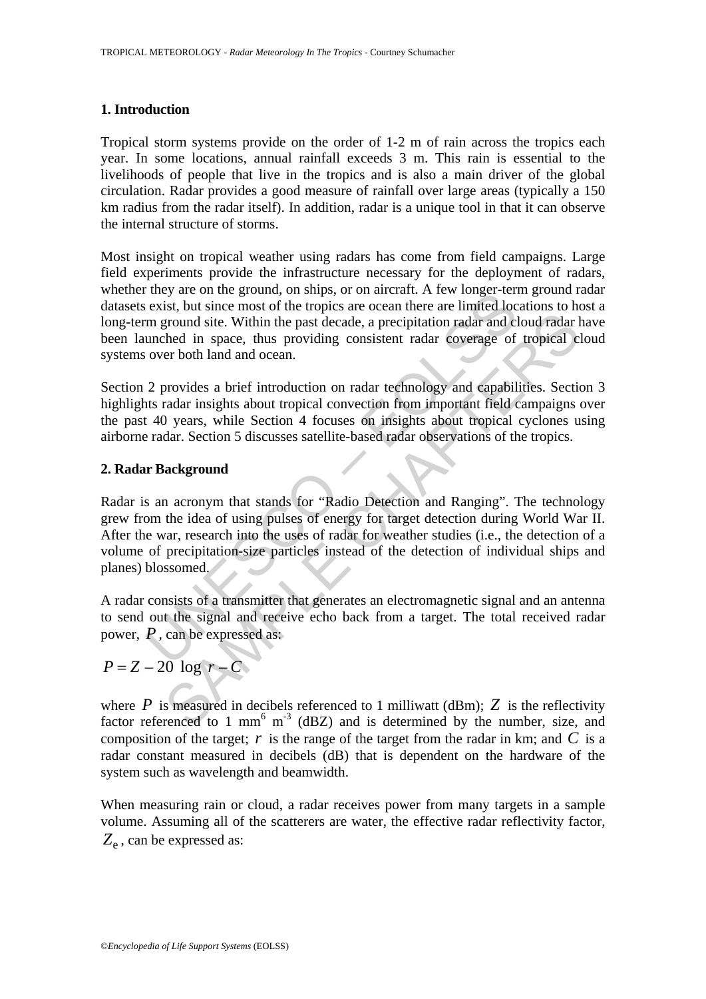#### **1. Introduction**

Tropical storm systems provide on the order of 1-2 m of rain across the tropics each year. In some locations, annual rainfall exceeds 3 m. This rain is essential to the livelihoods of people that live in the tropics and is also a main driver of the global circulation. Radar provides a good measure of rainfall over large areas (typically a 150 km radius from the radar itself). In addition, radar is a unique tool in that it can observe the internal structure of storms.

Most insight on tropical weather using radars has come from field campaigns. Large field experiments provide the infrastructure necessary for the deployment of radars, whether they are on the ground, on ships, or on aircraft. A few longer-term ground radar datasets exist, but since most of the tropics are ocean there are limited locations to host a long-term ground site. Within the past decade, a precipitation radar and cloud radar have been launched in space, thus providing consistent radar coverage of tropical cloud systems over both land and ocean.

Section 2 provides a brief introduction on radar technology and capabilities. Section 3 highlights radar insights about tropical convection from important field campaigns over the past 40 years, while Section 4 focuses on insights about tropical cyclones using airborne radar. Section 5 discusses satellite-based radar observations of the tropics.

#### **2. Radar Background**

They are on the ground, on sinps, or on anticiant. A rew followed the exist, but since most of the tropics are ocean there are limited loc m ground site. Within the past decade, a precipitation radar and clunched in space, ground site. Within the past decade, a precipitation radar and cloud radar held in space, thus providing consistent radar coverage of tropical c<br>er both land and ocean.<br>
provides a brief introduction on radar technology a Radar is an acronym that stands for "Radio Detection and Ranging". The technology grew from the idea of using pulses of energy for target detection during World War II. After the war, research into the uses of radar for weather studies (i.e., the detection of a volume of precipitation-size particles instead of the detection of individual ships and planes) blossomed.

A radar consists of a transmitter that generates an electromagnetic signal and an antenna to send out the signal and receive echo back from a target. The total received radar power, *P* , can be expressed as:

# $P = Z - 20 \log r - C$

where  $P$  is measured in decibels referenced to 1 milliwatt (dBm);  $Z$  is the reflectivity factor referenced to 1 mm<sup>6</sup> m<sup>-3</sup> (dBZ) and is determined by the number, size, and composition of the target;  $r$  is the range of the target from the radar in km; and  $C$  is a radar constant measured in decibels (dB) that is dependent on the hardware of the system such as wavelength and beamwidth.

When measuring rain or cloud, a radar receives power from many targets in a sample volume. Assuming all of the scatterers are water, the effective radar reflectivity factor,  $Z<sub>e</sub>$ , can be expressed as: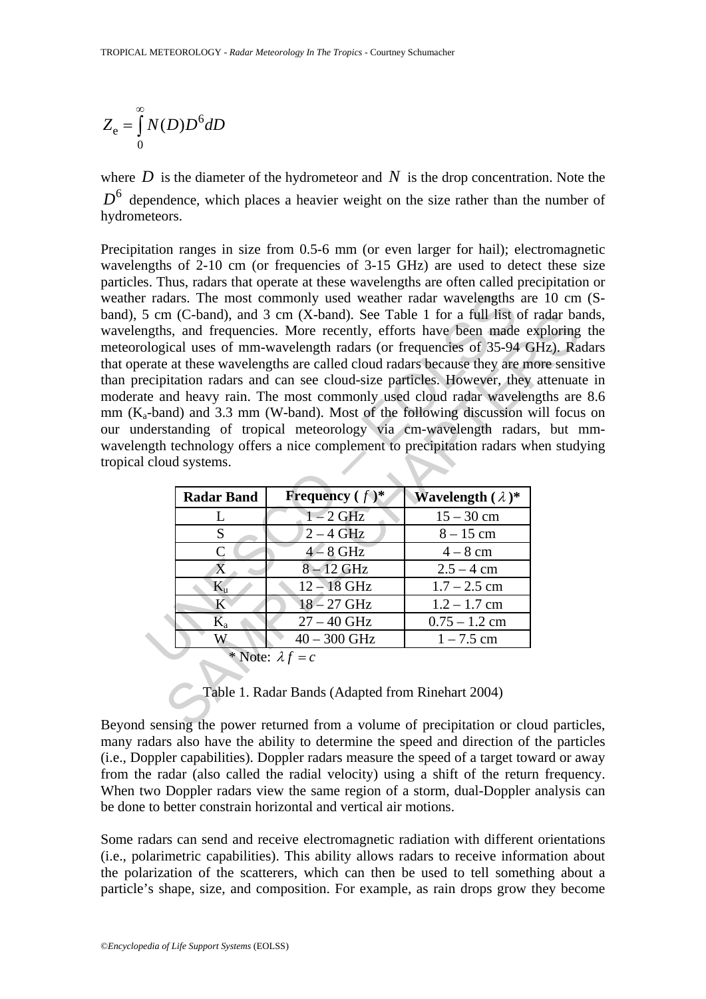$$
Z_{\rm e} = \int_{0}^{\infty} N(D)D^6 dD
$$

where  $D$  is the diameter of the hydrometeor and  $N$  is the drop concentration. Note the  $D<sup>6</sup>$  dependence, which places a heavier weight on the size rather than the number of hydrometeors.

radars. The most commonly used weather radar wavelengths<br>
5 cm (C-band), and 3 cm (X-band). See Table 1 for a full list egths, and frequencies. More recently, efforts have been made<br>
blogical uses of mm-wavelength radars m (C-band), and 3 cm (X-band). See Table 1 for a full fist of radar bas,<br>
sig, and frequencies. More recently, efforts have been made exploring<br>
sig, and frequencies of 35-94 GHz). Ra<br>
at these wavelengths are called clou Precipitation ranges in size from 0.5-6 mm (or even larger for hail); electromagnetic wavelengths of 2-10 cm (or frequencies of 3-15 GHz) are used to detect these size particles. Thus, radars that operate at these wavelengths are often called precipitation or weather radars. The most commonly used weather radar wavelengths are 10 cm (Sband), 5 cm (C-band), and 3 cm (X-band). See Table 1 for a full list of radar bands, wavelengths, and frequencies. More recently, efforts have been made exploring the meteorological uses of mm-wavelength radars (or frequencies of 35-94 GHz). Radars that operate at these wavelengths are called cloud radars because they are more sensitive than precipitation radars and can see cloud-size particles. However, they attenuate in moderate and heavy rain. The most commonly used cloud radar wavelengths are 8.6 mm  $(K_a$ -band) and 3.3 mm (W-band). Most of the following discussion will focus on our understanding of tropical meteorology via cm-wavelength radars, but mmwavelength technology offers a nice complement to precipitation radars when studying tropical cloud systems.

| <b>Radar Band</b>       | <b>Frequency</b> $(f)^*$ | <b>Wavelength</b> $(\lambda)$ * |
|-------------------------|--------------------------|---------------------------------|
| L                       | $1 - 2$ GHz              | $15 - 30$ cm                    |
| S                       | $2 - 4$ GHz              | $8 - 15$ cm                     |
|                         | $4 - 8$ GHz              | $4-8$ cm                        |
| $\overline{X}$          | $8 - 12$ GHz             | $2.5 - 4$ cm                    |
| $\mathbf{K}_\mathrm{n}$ | $12 - 18$ GHz            | $1.7 - 2.5$ cm                  |
| K                       | $18 - 27$ GHz            | $1.2 - 1.7$ cm                  |
| $\rm K_a$               | $27 - 40$ GHz            | $0.75 - 1.2$ cm                 |
|                         | $40 - 300$ GHz           | $1 - 7.5$ cm                    |
|                         | * Note: $\lambda f = c$  |                                 |

Table 1. Radar Bands (Adapted from Rinehart 2004)

Beyond sensing the power returned from a volume of precipitation or cloud particles, many radars also have the ability to determine the speed and direction of the particles (i.e., Doppler capabilities). Doppler radars measure the speed of a target toward or away from the radar (also called the radial velocity) using a shift of the return frequency. When two Doppler radars view the same region of a storm, dual-Doppler analysis can be done to better constrain horizontal and vertical air motions.

Some radars can send and receive electromagnetic radiation with different orientations (i.e., polarimetric capabilities). This ability allows radars to receive information about the polarization of the scatterers, which can then be used to tell something about a particle's shape, size, and composition. For example, as rain drops grow they become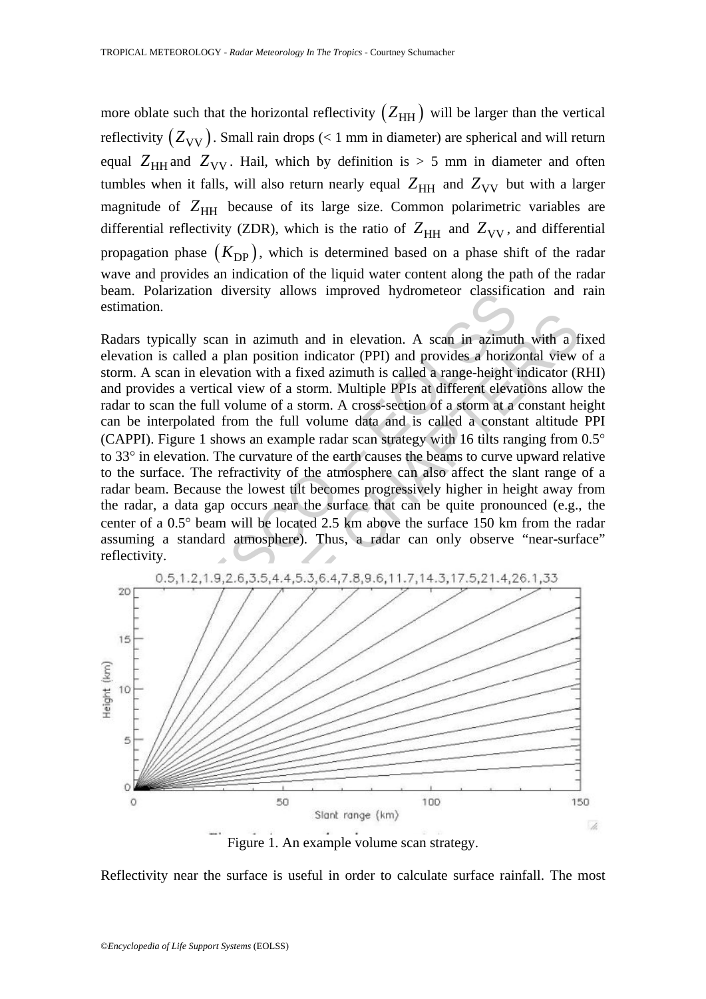more oblate such that the horizontal reflectivity  $(Z_{HH})$  will be larger than the vertical reflectivity  $(Z_{VV})$ . Small rain drops (< 1 mm in diameter) are spherical and will return equal  $Z_{HH}$  and  $Z_{VV}$ . Hail, which by definition is  $> 5$  mm in diameter and often tumbles when it falls, will also return nearly equal  $Z_{HH}$  and  $Z_{VV}$  but with a larger magnitude of  $Z_{HH}$  because of its large size. Common polarimetric variables are differential reflectivity (ZDR), which is the ratio of  $Z_{HH}$  and  $Z_{VV}$ , and differential propagation phase  $(K_{\text{DP}})$ , which is determined based on a phase shift of the radar wave and provides an indication of the liquid water content along the path of the radar beam. Polarization diversity allows improved hydrometeor classification and rain estimation.

Folarization diversity atiows improved nydrometeor classinc;<br>on.<br>typically scan in azimuth and in elevation. A scan in azimuth<br>in is called a plan position indicator (PPI) and provides a horize<br>A scan in elevation with a f bically scan in azimuth and in elevation. A scan in azimuth with a scalled a plan position indicator (PPI) and provides a horizontal view<br>can in elevation with a fixed azimuth is called a range-height indicator (F<br>es a ver Radars typically scan in azimuth and in elevation. A scan in azimuth with a fixed elevation is called a plan position indicator (PPI) and provides a horizontal view of a storm. A scan in elevation with a fixed azimuth is called a range-height indicator (RHI) and provides a vertical view of a storm. Multiple PPIs at different elevations allow the radar to scan the full volume of a storm. A cross-section of a storm at a constant height can be interpolated from the full volume data and is called a constant altitude PPI (CAPPI). Figure 1 shows an example radar scan strategy with 16 tilts ranging from 0.5° to 33° in elevation. The curvature of the earth causes the beams to curve upward relative to the surface. The refractivity of the atmosphere can also affect the slant range of a radar beam. Because the lowest tilt becomes progressively higher in height away from the radar, a data gap occurs near the surface that can be quite pronounced (e.g., the center of a 0.5° beam will be located 2.5 km above the surface 150 km from the radar assuming a standard atmosphere). Thus, a radar can only observe "near-surface" reflectivity.



Reflectivity near the surface is useful in order to calculate surface rainfall. The most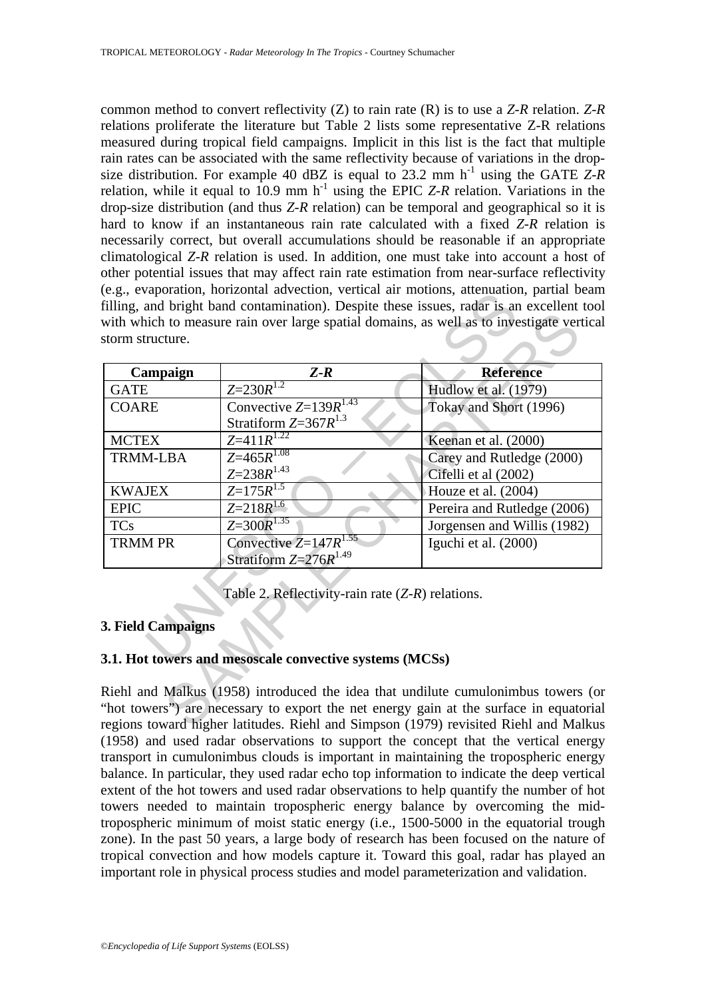common method to convert reflectivity (Z) to rain rate (R) is to use a *Z*-*R* relation. *Z*-*R* relations proliferate the literature but Table 2 lists some representative Z-R relations measured during tropical field campaigns. Implicit in this list is the fact that multiple rain rates can be associated with the same reflectivity because of variations in the dropsize distribution. For example 40 dBZ is equal to 23.2 mm  $h^{-1}$  using the GATE  $Z-R$ relation, while it equal to 10.9 mm  $h^{-1}$  using the EPIC *Z-R* relation. Variations in the drop-size distribution (and thus *Z*-*R* relation) can be temporal and geographical so it is hard to know if an instantaneous rain rate calculated with a fixed *Z*-*R* relation is necessarily correct, but overall accumulations should be reasonable if an appropriate climatological *Z*-*R* relation is used. In addition, one must take into account a host of other potential issues that may affect rain rate estimation from near-surface reflectivity (e.g., evaporation, horizontal advection, vertical air motions, attenuation, partial beam filling, and bright band contamination). Despite these issues, radar is an excellent tool with which to measure rain over large spatial domains, as well as to investigate vertical storm structure.

| Campaign           | $Z-R$                                                              | <b>Reference</b>                                  |
|--------------------|--------------------------------------------------------------------|---------------------------------------------------|
| <b>GATE</b>        | $Z=230R^{1.2}$                                                     | Hudlow et al. (1979)                              |
| <b>COARE</b>       | Convective $Z=1\overline{39R^{1.43}}$<br>Stratiform $Z=367R^{1.3}$ | Tokay and Short (1996)                            |
| <b>MCTEX</b>       | $Z = 411R^{1.22}$                                                  | Keenan et al. (2000)                              |
| <b>TRMM-LBA</b>    | $Z=465R^{1.08}$<br>$Z = 238R^{1.43}$                               | Carey and Rutledge (2000)<br>Cifelli et al (2002) |
| <b>KWAJEX</b>      | $Z=175R^{1.5}$                                                     | Houze et al. (2004)                               |
| <b>EPIC</b>        | $Z = 218R^{1.6}$                                                   | Pereira and Rutledge (2006)                       |
| <b>TCs</b>         | $Z=300R^{1.35}$                                                    | Jorgensen and Willis (1982)                       |
| <b>TRMM PR</b>     | Convective $Z=147R^{1.55}$<br>Stratiform $Z=276R^{1.49}$           | Iguchi et al. (2000)                              |
|                    | Table 2. Reflectivity-rain rate $(Z-R)$ relations.                 |                                                   |
| 3. Field Campaigns |                                                                    |                                                   |
|                    | 3.1. Hot towers and mesoscale convective systems (MCSs)            |                                                   |

## **3. Field Campaigns**

## **3.1. Hot towers and mesoscale convective systems (MCSs)**

Riehl and Malkus (1958) introduced the idea that undilute cumulonimbus towers (or "hot towers") are necessary to export the net energy gain at the surface in equatorial regions toward higher latitudes. Riehl and Simpson (1979) revisited Riehl and Malkus (1958) and used radar observations to support the concept that the vertical energy transport in cumulonimbus clouds is important in maintaining the tropospheric energy balance. In particular, they used radar echo top information to indicate the deep vertical extent of the hot towers and used radar observations to help quantify the number of hot towers needed to maintain tropospheric energy balance by overcoming the midtropospheric minimum of moist static energy (i.e., 1500-5000 in the equatorial trough zone). In the past 50 years, a large body of research has been focused on the nature of tropical convection and how models capture it. Toward this goal, radar has played an important role in physical process studies and model parameterization and validation.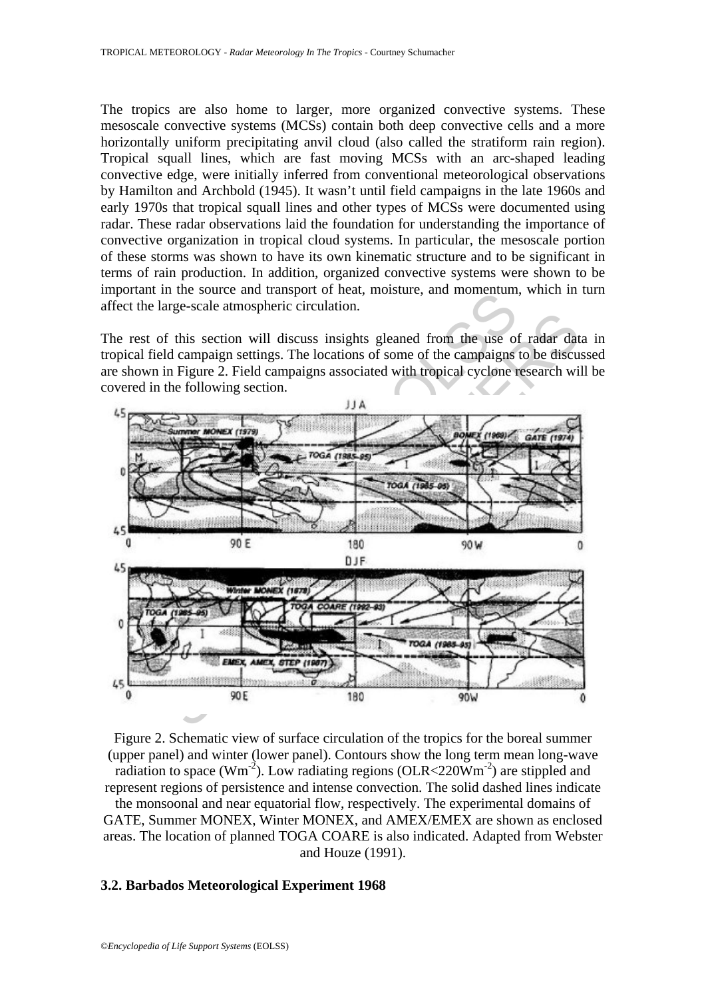The tropics are also home to larger, more organized convective systems. These mesoscale convective systems (MCSs) contain both deep convective cells and a more horizontally uniform precipitating anvil cloud (also called the stratiform rain region). Tropical squall lines, which are fast moving MCSs with an arc-shaped leading convective edge, were initially inferred from conventional meteorological observations by Hamilton and Archbold (1945). It wasn't until field campaigns in the late 1960s and early 1970s that tropical squall lines and other types of MCSs were documented using radar. These radar observations laid the foundation for understanding the importance of convective organization in tropical cloud systems. In particular, the mesoscale portion of these storms was shown to have its own kinematic structure and to be significant in terms of rain production. In addition, organized convective systems were shown to be important in the source and transport of heat, moisture, and momentum, which in turn affect the large-scale atmospheric circulation.

The rest of this section will discuss insights gleaned from the use of radar data in tropical field campaign settings. The locations of some of the campaigns to be discussed are shown in Figure 2. Field campaigns associated with tropical cyclone research will be covered in the following section.



Figure 2. Schematic view of surface circulation of the tropics for the boreal summer (upper panel) and winter (lower panel). Contours show the long term mean long-wave radiation to space ( $Wm^{-2}$ ). Low radiating regions ( $OLR < 220Wm^{-2}$ ) are stippled and represent regions of persistence and intense convection. The solid dashed lines indicate the monsoonal and near equatorial flow, respectively. The experimental domains of GATE, Summer MONEX, Winter MONEX, and AMEX/EMEX are shown as enclosed areas. The location of planned TOGA COARE is also indicated. Adapted from Webster and Houze (1991).

#### **3.2. Barbados Meteorological Experiment 1968**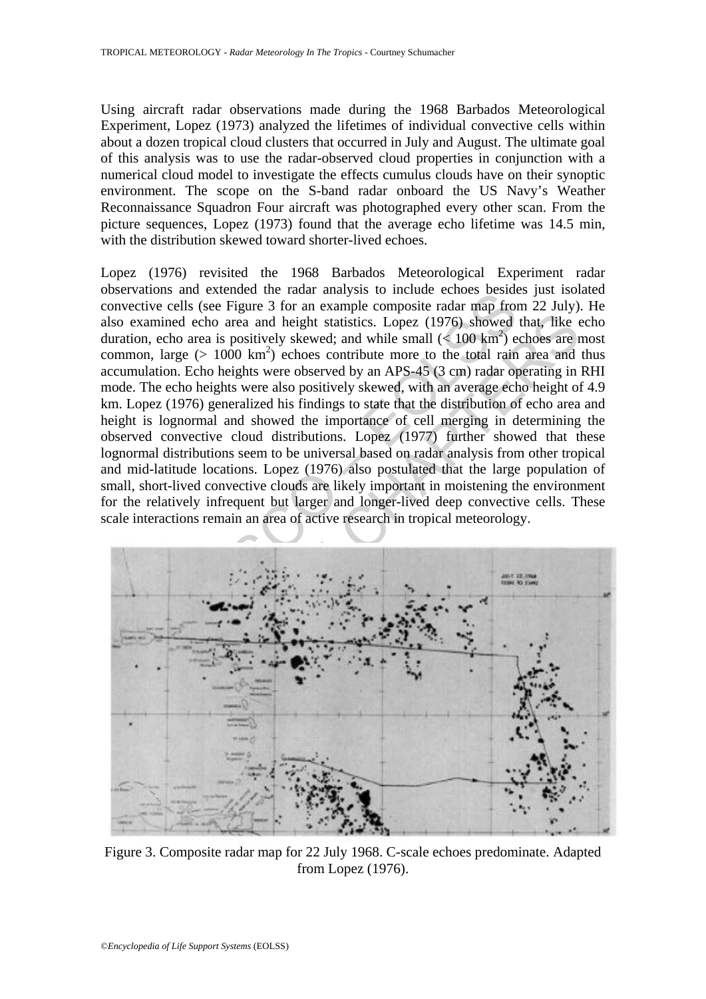Using aircraft radar observations made during the 1968 Barbados Meteorological Experiment, Lopez (1973) analyzed the lifetimes of individual convective cells within about a dozen tropical cloud clusters that occurred in July and August. The ultimate goal of this analysis was to use the radar-observed cloud properties in conjunction with a numerical cloud model to investigate the effects cumulus clouds have on their synoptic environment. The scope on the S-band radar onboard the US Navy's Weather Reconnaissance Squadron Four aircraft was photographed every other scan. From the picture sequences, Lopez (1973) found that the average echo lifetime was 14.5 min, with the distribution skewed toward shorter-lived echoes.

tions and extended the Tada analysis of microlectic despenses of the section and extended the reduce of the particle conduct the conduct of the particle of the particle of the particle of the particle of the particle of t and echo area and height statistics. Lopez (1976) showed that like cho area is positively skewed; and while small  $(4\ 100 \text{ km}^2)$  echoses are rare  $(>1000 \text{ km}^2)$  echoses are rare  $(>1000 \text{ km}^2)$  echoses are rare  $(>1$ Lopez (1976) revisited the 1968 Barbados Meteorological Experiment radar observations and extended the radar analysis to include echoes besides just isolated convective cells (see Figure 3 for an example composite radar map from 22 July). He also examined echo area and height statistics. Lopez (1976) showed that, like echo duration, echo area is positively skewed; and while small  $(< 100 \text{ km}^2)$  echoes are most common, large  $(> 1000 \text{ km}^2)$  echoes contribute more to the total rain area and thus accumulation. Echo heights were observed by an APS-45 (3 cm) radar operating in RHI mode. The echo heights were also positively skewed, with an average echo height of 4.9 km. Lopez (1976) generalized his findings to state that the distribution of echo area and height is lognormal and showed the importance of cell merging in determining the observed convective cloud distributions. Lopez (1977) further showed that these lognormal distributions seem to be universal based on radar analysis from other tropical and mid-latitude locations. Lopez (1976) also postulated that the large population of small, short-lived convective clouds are likely important in moistening the environment for the relatively infrequent but larger and longer-lived deep convective cells. These scale interactions remain an area of active research in tropical meteorology.



Figure 3. Composite radar map for 22 July 1968. C-scale echoes predominate. Adapted from Lopez (1976).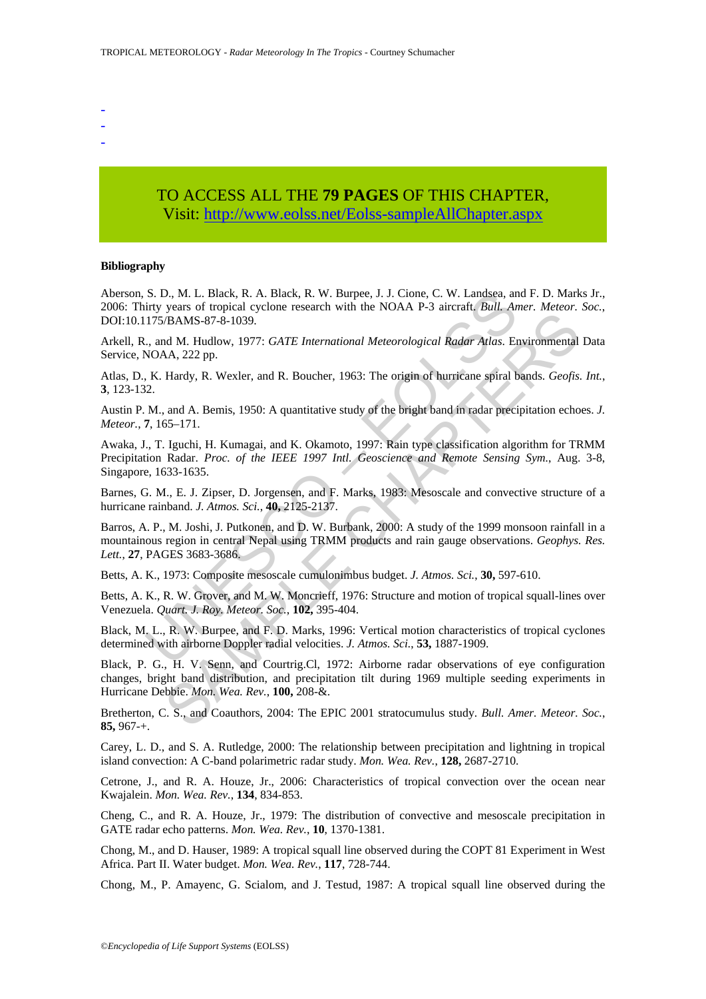- -
- -
- -

## TO ACCESS ALL THE **79 PAGES** OF THIS CHAPTER, Visit: [http://www.eolss.net/Eolss-sampleAllChapter.aspx](https://www.eolss.net/ebooklib/sc_cart.aspx?File=E6-158-02-00)

#### **Bibliography**

Aberson, S. D., M. L. Black, R. A. Black, R. W. Burpee, J. J. Cione, C. W. Landsea, and F. D. Marks Jr., 2006: Thirty years of tropical cyclone research with the NOAA P-3 aircraft. *Bull. Amer. Meteor. Soc.*, DOI:10.1175/BAMS-87-8-1039.

Arkell, R., and M. Hudlow, 1977: *GATE International Meteorological Radar Atlas*. Environmental Data Service, NOAA, 222 pp.

Atlas, D., K. Hardy, R. Wexler, and R. Boucher, 1963: The origin of hurricane spiral bands. *Geofis. Int.*, **3**, 123-132.

Austin P. M., and A. Bemis, 1950: A quantitative study of the bright band in radar precipitation echoes. *J. Meteor.*, **7**, 165–171.

Awaka, J., T. Iguchi, H. Kumagai, and K. Okamoto, 1997: Rain type classification algorithm for TRMM Precipitation Radar. *Proc. of the IEEE 1997 Intl. Geoscience and Remote Sensing Sym.*, Aug. 3-8, Singapore, 1633-1635.

Barnes, G. M., E. J. Zipser, D. Jorgensen, and F. Marks, 1983: Mesoscale and convective structure of a hurricane rainband. *J. Atmos. Sci.*, **40,** 2125-2137.

S. D., M. L. Black, R. A. Black, R. W. Burpee, J. J. Cione, C. W. Landsea, an<br>irty years of tropical cyclone research with the NOAA P-3 aircraft. Bull. An<br>irty years of tropical cyclone research with the NOAA P-3 aircraft. FRAMS-87-8-1039.<br>
HAMS-87-8-1039.<br>
HAMS-87-8-1039.<br>
HAMS-87-8-1039.<br>
HAMS-87-8-1039.<br>
HAMS-87-8-1039.<br>
HAMS-87-8-1039.<br>
HAMS-87-8-1039.<br>
HAMS-87-8-1039.<br>
HAMS-87-8-1039.<br>
HAMS-87-8-1039.<br>
HAMS-87-8-1039.<br>
HAMS-87-8-102.<br> Barros, A. P., M. Joshi, J. Putkonen, and D. W. Burbank, 2000: A study of the 1999 monsoon rainfall in a mountainous region in central Nepal using TRMM products and rain gauge observations. *Geophys. Res. Lett.*, **27**, PAGES 3683-3686.

Betts, A. K., 1973: Composite mesoscale cumulonimbus budget. *J. Atmos. Sci.*, **30,** 597-610.

Betts, A. K., R. W. Grover, and M. W. Moncrieff, 1976: Structure and motion of tropical squall-lines over Venezuela. *Quart. J. Roy. Meteor. Soc.*, **102,** 395-404.

Black, M. L., R. W. Burpee, and F. D. Marks, 1996: Vertical motion characteristics of tropical cyclones determined with airborne Doppler radial velocities. *J. Atmos. Sci.*, **53,** 1887-1909.

Black, P. G., H. V. Senn, and Courtrig.Cl, 1972: Airborne radar observations of eye configuration changes, bright band distribution, and precipitation tilt during 1969 multiple seeding experiments in Hurricane Debbie. *Mon. Wea. Rev.*, **100,** 208-&.

Bretherton, C. S., and Coauthors, 2004: The EPIC 2001 stratocumulus study. *Bull. Amer. Meteor. Soc.*, **85,** 967-+.

Carey, L. D., and S. A. Rutledge, 2000: The relationship between precipitation and lightning in tropical island convection: A C-band polarimetric radar study. *Mon. Wea. Rev.*, **128,** 2687-2710.

Cetrone, J., and R. A. Houze, Jr., 2006: Characteristics of tropical convection over the ocean near Kwajalein. *Mon. Wea. Rev.*, **134**, 834-853.

Cheng, C., and R. A. Houze, Jr., 1979: The distribution of convective and mesoscale precipitation in GATE radar echo patterns. *Mon. Wea. Rev.*, **10**, 1370-1381.

Chong, M., and D. Hauser, 1989: A tropical squall line observed during the COPT 81 Experiment in West Africa. Part II. Water budget. *Mon. Wea. Rev.*, **117**, 728-744.

Chong, M., P. Amayenc, G. Scialom, and J. Testud, 1987: A tropical squall line observed during the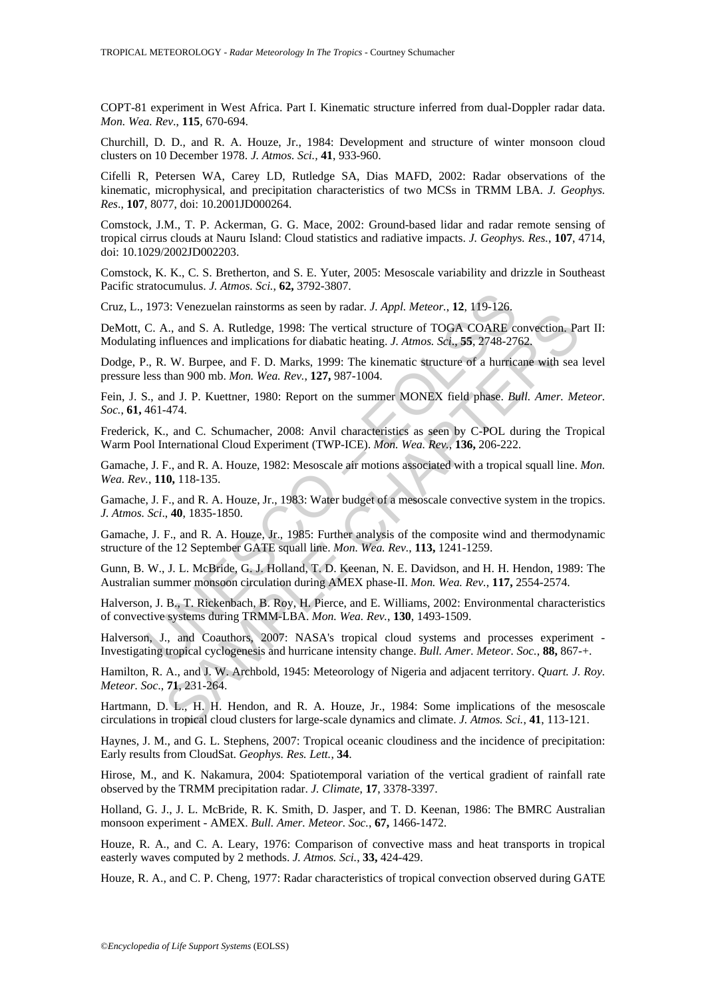COPT-81 experiment in West Africa. Part I. Kinematic structure inferred from dual-Doppler radar data. *Mon. Wea. Rev*., **115**, 670-694.

Churchill, D. D., and R. A. Houze, Jr., 1984: Development and structure of winter monsoon cloud clusters on 10 December 1978. *J. Atmos. Sci.,* **41**, 933-960.

Cifelli R, Petersen WA, Carey LD, Rutledge SA, Dias MAFD, 2002: Radar observations of the kinematic, microphysical, and precipitation characteristics of two MCSs in TRMM LBA. *J. Geophys. Res*., **107**, 8077, doi: 10.2001JD000264.

Comstock, J.M., T. P. Ackerman, G. G. Mace, 2002: Ground-based lidar and radar remote sensing of tropical cirrus clouds at Nauru Island: Cloud statistics and radiative impacts. *J. Geophys. Res.*, **107**, 4714, doi: 10.1029/2002JD002203.

Comstock, K. K., C. S. Bretherton, and S. E. Yuter, 2005: Mesoscale variability and drizzle in Southeast Pacific stratocumulus. *J. Atmos. Sci.*, **62,** 3792-3807.

Cruz, L., 1973: Venezuelan rainstorms as seen by radar. *J. Appl. Meteor.*, **12**, 119-126.

1973: Venezuelan rainstorms as seen by radar. *J. Appl. Meteor.*, 12, 119-126.<br>
1973: Venezuelan rainstorms as seen by radar. *J. Appl. Meteor.*, 12, 119-126.<br>
C. A., and S. A. Rutledge, 1998: The vertical structure of TOG **EVALUATION IN THE CART SQUAL TRANSPARE AND AN AVALUAT AND AN AN AN AN ART CARR COARE Convection.** Pa<br>
A., and S. A. Rutledge, 1998: The vertical structure of TOGA COARE convection. Pa<br>
Thences and implications for diabat DeMott, C. A., and S. A. Rutledge, 1998: The vertical structure of TOGA COARE convection. Part II: Modulating influences and implications for diabatic heating. *J. Atmos. Sci*., **55**, 2748-2762.

Dodge, P., R. W. Burpee, and F. D. Marks, 1999: The kinematic structure of a hurricane with sea level pressure less than 900 mb. *Mon. Wea. Rev.*, **127,** 987-1004.

Fein, J. S., and J. P. Kuettner, 1980: Report on the summer MONEX field phase. *Bull. Amer. Meteor. Soc.*, **61,** 461-474.

Frederick, K., and C. Schumacher, 2008: Anvil characteristics as seen by C-POL during the Tropical Warm Pool International Cloud Experiment (TWP-ICE). *Mon. Wea. Rev.*, **136,** 206-222.

Gamache, J. F., and R. A. Houze, 1982: Mesoscale air motions associated with a tropical squall line. *Mon. Wea. Rev.*, **110,** 118-135.

Gamache, J. F., and R. A. Houze, Jr., 1983: Water budget of a mesoscale convective system in the tropics. *J. Atmos. Sci*., **40**, 1835-1850.

Gamache, J. F., and R. A. Houze, Jr., 1985: Further analysis of the composite wind and thermodynamic structure of the 12 September GATE squall line. *Mon. Wea. Rev.*, **113,** 1241-1259.

Gunn, B. W., J. L. McBride, G. J. Holland, T. D. Keenan, N. E. Davidson, and H. H. Hendon, 1989: The Australian summer monsoon circulation during AMEX phase-II. *Mon. Wea. Rev.*, **117,** 2554-2574.

Halverson, J. B., T. Rickenbach, B. Roy, H. Pierce, and E. Williams, 2002: Environmental characteristics of convective systems during TRMM-LBA. *Mon. Wea. Rev.*, **130**, 1493-1509.

Halverson, J., and Coauthors, 2007: NASA's tropical cloud systems and processes experiment - Investigating tropical cyclogenesis and hurricane intensity change. *Bull. Amer. Meteor. Soc.*, **88,** 867-+.

Hamilton, R. A., and J. W. Archbold, 1945: Meteorology of Nigeria and adjacent territory. *Quart. J. Roy. Meteor. Soc*., **71**, 231-264.

Hartmann, D. L., H. H. Hendon, and R. A. Houze, Jr., 1984: Some implications of the mesoscale circulations in tropical cloud clusters for large-scale dynamics and climate. *J. Atmos. Sci.*, **41**, 113-121.

Haynes, J. M., and G. L. Stephens, 2007: Tropical oceanic cloudiness and the incidence of precipitation: Early results from CloudSat. *Geophys. Res. Lett.*, **34**.

Hirose, M., and K. Nakamura, 2004: Spatiotemporal variation of the vertical gradient of rainfall rate observed by the TRMM precipitation radar. *J. Climate*, **17**, 3378-3397.

Holland, G. J., J. L. McBride, R. K. Smith, D. Jasper, and T. D. Keenan, 1986: The BMRC Australian monsoon experiment - AMEX. *Bull. Amer. Meteor. Soc.*, **67,** 1466-1472.

Houze, R. A., and C. A. Leary, 1976: Comparison of convective mass and heat transports in tropical easterly waves computed by 2 methods. *J. Atmos. Sci.*, **33,** 424-429.

Houze, R. A., and C. P. Cheng, 1977: Radar characteristics of tropical convection observed during GATE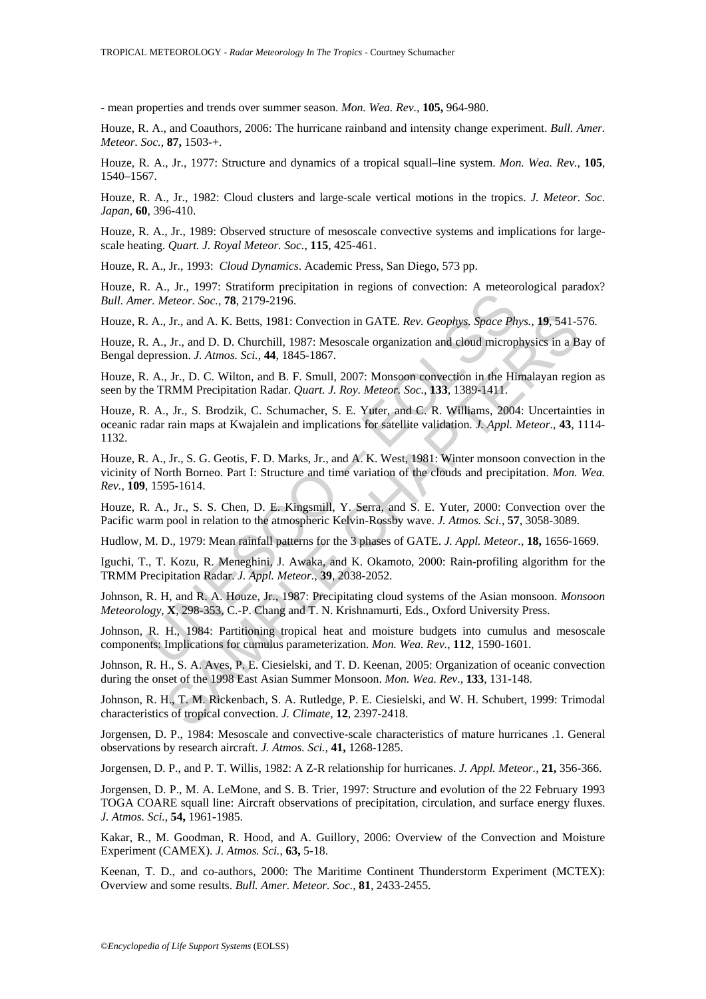- mean properties and trends over summer season. *Mon. Wea. Rev.*, **105,** 964-980.

Houze, R. A., and Coauthors, 2006: The hurricane rainband and intensity change experiment. *Bull. Amer. Meteor. Soc.*, **87,** 1503-+.

Houze, R. A., Jr., 1977: Structure and dynamics of a tropical squall–line system. *Mon. Wea. Rev.*, **105**, 1540–1567.

Houze, R. A., Jr., 1982: Cloud clusters and large-scale vertical motions in the tropics. *J. Meteor. Soc. Japan*, **60**, 396-410.

Houze, R. A., Jr., 1989: Observed structure of mesoscale convective systems and implications for largescale heating. *Quart. J. Royal Meteor. Soc.*, **115**, 425-461.

Houze, R. A., Jr., 1993: *Cloud Dynamics*. Academic Press, San Diego, 573 pp.

Houze, R. A., Jr., 1997: Stratiform precipitation in regions of convection: A meteorological paradox? *Bull. Amer. Meteor. Soc.*, **78**, 2179-2196.

Houze, R. A., Jr., and A. K. Betts, 1981: Convection in GATE. *Rev. Geophys. Space Phys.,* **19**, 541-576.

Houze, R. A., Jr., and D. D. Churchill, 1987: Mesoscale organization and cloud microphysics in a Bay of Bengal depression. *J. Atmos. Sci.,* **44**, 1845-1867.

Houze, R. A., Jr., D. C. Wilton, and B. F. Smull, 2007: Monsoon convection in the Himalayan region as seen by the TRMM Precipitation Radar. *Quart. J. Roy. Meteor. Soc.*, **133**, 1389-1411.

C. H., H., and A. K. Battern Pioplematics. In Equation of Confederal P. Theory.<br>
T. Meteor. Soc., 78, 2179-2196.<br>
A., Jr., and A. K. Betts, 1981: Convection in GATE. Rev. Geophys. Space Ph.<br>
A., Ir., and D. D. Churchill, 1 , Jr., and A. K. Betts, 1981: Convection in GATE. Rev. Geophys, Space Phys., 19, 541-5<br>
J.r., and D. D. Churchill, 1987: Mesoscale organization and cloud microphysics in a B<br>
ssion. J. Atmos. Sci., 44, 1845-1867.<br>
J.r., D. Houze, R. A., Jr., S. Brodzik, C. Schumacher, S. E. Yuter, and C. R. Williams, 2004: Uncertainties in oceanic radar rain maps at Kwajalein and implications for satellite validation. *J. Appl. Meteor.*, **43**, 1114- 1132.

Houze, R. A., Jr., S. G. Geotis, F. D. Marks, Jr., and A. K. West, 1981: Winter monsoon convection in the vicinity of North Borneo. Part I: Structure and time variation of the clouds and precipitation. *Mon. Wea. Rev.*, **109**, 1595-1614.

Houze, R. A., Jr., S. S. Chen, D. E. Kingsmill, Y. Serra, and S. E. Yuter, 2000: Convection over the Pacific warm pool in relation to the atmospheric Kelvin-Rossby wave. *J. Atmos. Sci.,* **57**, 3058-3089.

Hudlow, M. D., 1979: Mean rainfall patterns for the 3 phases of GATE. *J. Appl. Meteor.*, **18,** 1656-1669.

Iguchi, T., T. Kozu, R. Meneghini, J. Awaka, and K. Okamoto, 2000: Rain-profiling algorithm for the TRMM Precipitation Radar. *J. Appl. Meteor.*, **39**, 2038-2052.

Johnson, R. H, and R. A. Houze, Jr., 1987: Precipitating cloud systems of the Asian monsoon. *Monsoon Meteorology*, **X**, 298-353, C.-P. Chang and T. N. Krishnamurti, Eds., Oxford University Press.

Johnson, R. H., 1984: Partitioning tropical heat and moisture budgets into cumulus and mesoscale components: Implications for cumulus parameterization. *Mon. Wea. Rev.*, **112**, 1590-1601.

Johnson, R. H., S. A. Aves, P. E. Ciesielski, and T. D. Keenan, 2005: Organization of oceanic convection during the onset of the 1998 East Asian Summer Monsoon. *Mon. Wea. Rev*., **133**, 131-148.

Johnson, R. H., T. M. Rickenbach, S. A. Rutledge, P. E. Ciesielski, and W. H. Schubert, 1999: Trimodal characteristics of tropical convection. *J. Climate*, **12**, 2397-2418.

Jorgensen, D. P., 1984: Mesoscale and convective-scale characteristics of mature hurricanes .1. General observations by research aircraft. *J. Atmos. Sci.*, **41,** 1268-1285.

Jorgensen, D. P., and P. T. Willis, 1982: A Z-R relationship for hurricanes. *J. Appl. Meteor.*, **21,** 356-366.

Jorgensen, D. P., M. A. LeMone, and S. B. Trier, 1997: Structure and evolution of the 22 February 1993 TOGA COARE squall line: Aircraft observations of precipitation, circulation, and surface energy fluxes. *J. Atmos. Sci.*, **54,** 1961-1985.

Kakar, R., M. Goodman, R. Hood, and A. Guillory, 2006: Overview of the Convection and Moisture Experiment (CAMEX). *J. Atmos. Sci.*, **63,** 5-18.

Keenan, T. D., and co-authors, 2000: The Maritime Continent Thunderstorm Experiment (MCTEX): Overview and some results. *Bull. Amer. Meteor. Soc.*, **81**, 2433-2455.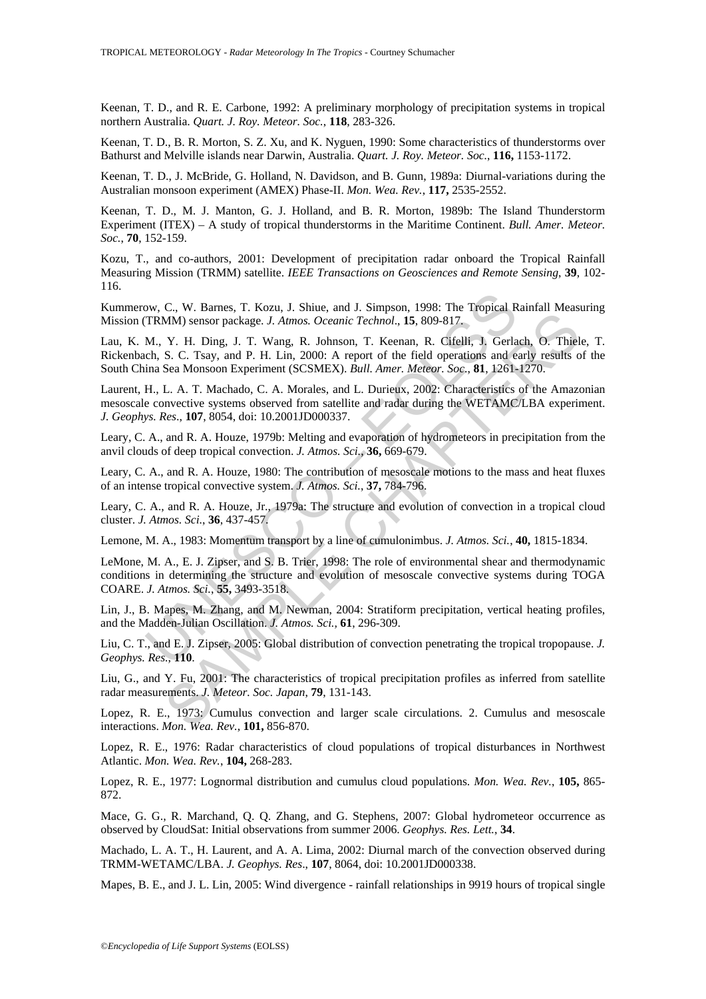Keenan, T. D., and R. E. Carbone, 1992: A preliminary morphology of precipitation systems in tropical northern Australia. *Quart. J. Roy. Meteor. Soc.*, **118**, 283-326.

Keenan, T. D., B. R. Morton, S. Z. Xu, and K. Nyguen, 1990: Some characteristics of thunderstorms over Bathurst and Melville islands near Darwin, Australia. *Quart. J. Roy. Meteor. Soc.*, **116,** 1153-1172.

Keenan, T. D., J. McBride, G. Holland, N. Davidson, and B. Gunn, 1989a: Diurnal-variations during the Australian monsoon experiment (AMEX) Phase-II. *Mon. Wea. Rev.*, **117,** 2535-2552.

Keenan, T. D., M. J. Manton, G. J. Holland, and B. R. Morton, 1989b: The Island Thunderstorm Experiment (ITEX) – A study of tropical thunderstorms in the Maritime Continent. *Bull. Amer. Meteor. Soc.*, **70**, 152-159.

Kozu, T., and co-authors, 2001: Development of precipitation radar onboard the Tropical Rainfall Measuring Mission (TRMM) satellite. *IEEE Transactions on Geosciences and Remote Sensing*, **39**, 102- 116.

Kummerow, C., W. Barnes, T. Kozu, J. Shiue, and J. Simpson, 1998: The Tropical Rainfall Measuring Mission (TRMM) sensor package. *J. Atmos. Oceanic Technol*., **15**, 809-817.

ow, C., W. Barnes, T. Kozu, J. Shiue, and J. Simpson, 1998: The Tropical RTRMM) sensor package. J. Atmos. Oceanic Technol., **15**, 809-817.<br>M., Y. H. Ding, J. T. Wang, R. Johnson, T. Keenan, R. Cifelli, J. Gerla<br>ch. S. C. T SAMPA Density Primary. Primary, Primary, Primary, Primary, Primary, Primary, Primary, Primary, Primary, Primary, Primary, Primary, Primary, Primary, Primary, Primary, Primary, Primary, Primary, Primary, Primary, Primary, P Lau, K. M., Y. H. Ding, J. T. Wang, R. Johnson, T. Keenan, R. Cifelli, J. Gerlach, O. Thiele, T. Rickenbach, S. C. Tsay, and P. H. Lin, 2000: A report of the field operations and early results of the South China Sea Monsoon Experiment (SCSMEX). *Bull. Amer. Meteor. Soc*., **81**, 1261-1270.

Laurent, H., L. A. T. Machado, C. A. Morales, and L. Durieux, 2002: Characteristics of the Amazonian mesoscale convective systems observed from satellite and radar during the WETAMC/LBA experiment. *J. Geophys. Res*., **107**, 8054, doi: 10.2001JD000337.

Leary, C. A., and R. A. Houze, 1979b: Melting and evaporation of hydrometeors in precipitation from the anvil clouds of deep tropical convection. *J. Atmos. Sci.*, **36,** 669-679.

Leary, C. A., and R. A. Houze, 1980: The contribution of mesoscale motions to the mass and heat fluxes of an intense tropical convective system. *J. Atmos. Sci.*, **37,** 784-796.

Leary, C. A., and R. A. Houze, Jr., 1979a: The structure and evolution of convection in a tropical cloud cluster. *J. Atmos. Sci.*, **36**, 437-457.

Lemone, M. A., 1983: Momentum transport by a line of cumulonimbus. *J. Atmos. Sci.*, **40,** 1815-1834.

LeMone, M. A., E. J. Zipser, and S. B. Trier, 1998: The role of environmental shear and thermodynamic conditions in determining the structure and evolution of mesoscale convective systems during TOGA COARE. *J. Atmos. Sci.*, **55,** 3493-3518.

Lin, J., B. Mapes, M. Zhang, and M. Newman, 2004: Stratiform precipitation, vertical heating profiles, and the Madden-Julian Oscillation. *J. Atmos. Sci.,* **61**, 296-309.

Liu, C. T., and E. J. Zipser, 2005: Global distribution of convection penetrating the tropical tropopause. *J. Geophys. Res.*, **110**.

Liu, G., and Y. Fu, 2001: The characteristics of tropical precipitation profiles as inferred from satellite radar measurements. *J. Meteor. Soc. Japan*, **79**, 131-143.

Lopez, R. E., 1973: Cumulus convection and larger scale circulations. 2. Cumulus and mesoscale interactions. *Mon. Wea. Rev.*, **101,** 856-870.

Lopez, R. E., 1976: Radar characteristics of cloud populations of tropical disturbances in Northwest Atlantic. *Mon. Wea. Rev.*, **104,** 268-283.

Lopez, R. E., 1977: Lognormal distribution and cumulus cloud populations. *Mon. Wea. Rev.*, **105,** 865- 872.

Mace, G. G., R. Marchand, Q. Q. Zhang, and G. Stephens, 2007: Global hydrometeor occurrence as observed by CloudSat: Initial observations from summer 2006. *Geophys. Res. Lett.*, **34**.

Machado, L. A. T., H. Laurent, and A. A. Lima, 2002: Diurnal march of the convection observed during TRMM-WETAMC/LBA. *J. Geophys. Res*., **107**, 8064, doi: 10.2001JD000338.

Mapes, B. E., and J. L. Lin, 2005: Wind divergence - rainfall relationships in 9919 hours of tropical single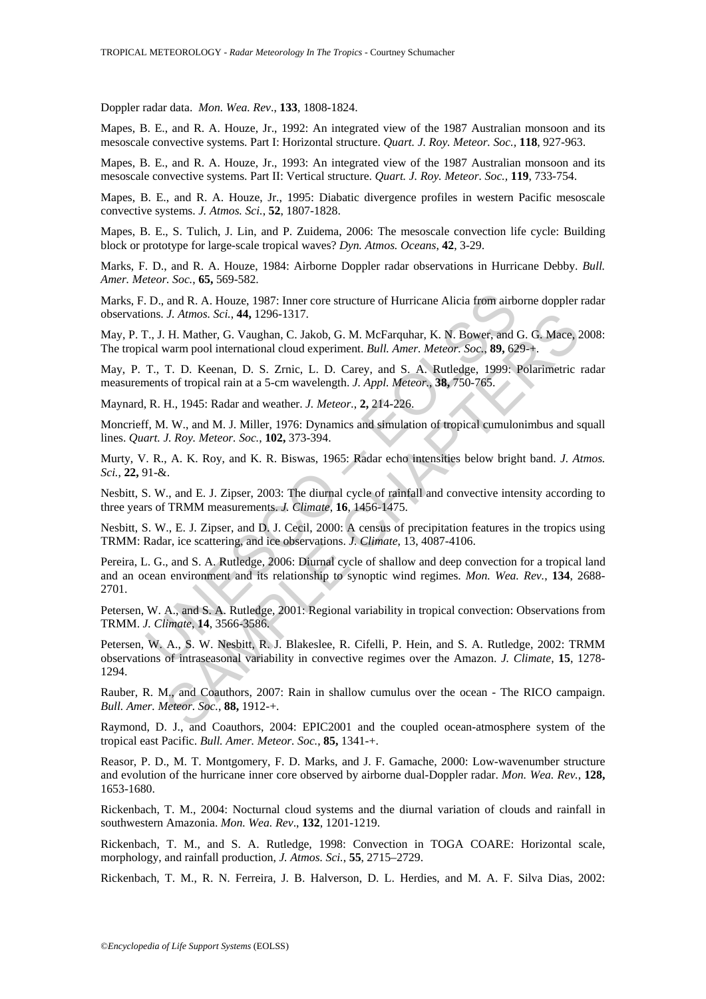Doppler radar data. *Mon. Wea. Rev*., **133**, 1808-1824.

Mapes, B. E., and R. A. Houze, Jr., 1992: An integrated view of the 1987 Australian monsoon and its mesoscale convective systems. Part I: Horizontal structure. *Quart. J. Roy. Meteor. Soc.,* **118**, 927-963.

Mapes, B. E., and R. A. Houze, Jr., 1993: An integrated view of the 1987 Australian monsoon and its mesoscale convective systems. Part II: Vertical structure. *Quart. J. Roy. Meteor. Soc.,* **119**, 733-754.

Mapes, B. E., and R. A. Houze, Jr., 1995: Diabatic divergence profiles in western Pacific mesoscale convective systems. *J. Atmos. Sci.*, **52**, 1807-1828.

Mapes, B. E., S. Tulich, J. Lin, and P. Zuidema, 2006: The mesoscale convection life cycle: Building block or prototype for large-scale tropical waves? *Dyn. Atmos. Oceans*, **42**, 3-29.

Marks, F. D., and R. A. Houze, 1984: Airborne Doppler radar observations in Hurricane Debby. *Bull. Amer. Meteor. Soc.*, **65,** 569-582.

Marks, F. D., and R. A. Houze, 1987: Inner core structure of Hurricane Alicia from airborne doppler radar observations. *J. Atmos. Sci.*, **44,** 1296-1317.

May, P. T., J. H. Mather, G. Vaughan, C. Jakob, G. M. McFarquhar, K. N. Bower, and G. G. Mace, 2008: The tropical warm pool international cloud experiment. *Bull. Amer. Meteor. Soc.*, **89,** 629-+.

May, P. T., T. D. Keenan, D. S. Zrnic, L. D. Carey, and S. A. Rutledge, 1999: Polarimetric radar measurements of tropical rain at a 5-cm wavelength. *J. Appl. Meteor.*, **38,** 750-765.

Maynard, R. H., 1945: Radar and weather. *J. Meteor.*, **2,** 214-226.

Moncrieff, M. W., and M. J. Miller, 1976: Dynamics and simulation of tropical cumulonimbus and squall lines. *Quart. J. Roy. Meteor. Soc.*, **102,** 373-394.

Murty, V. R., A. K. Roy, and K. R. Biswas, 1965: Radar echo intensities below bright band. *J. Atmos. Sci.*, **22,** 91-&.

Nesbitt, S. W., and E. J. Zipser, 2003: The diurnal cycle of rainfall and convective intensity according to three years of TRMM measurements. *J. Climate*, **16**, 1456-1475.

Nesbitt, S. W., E. J. Zipser, and D. J. Cecil, 2000: A census of precipitation features in the tropics using TRMM: Radar, ice scattering, and ice observations. *J. Climate*, 13, 4087-4106.

I.D., and R. A. Houze, 1987: Inner core structure of Hurricane Alicia from airbons. *J. Atmos. Sci.*, **44**, 1296-1317.<br>
T., J. H. Mather, G. Vaughan, C. Jakob, G. M. McFarquhar, K. N. Bower, and cal warm pool international *J. Atmos. Sci.*, 44, 1296-1317.<br>
H. Mather, G. Vaughan, C. Jakob, G. M. McFarquhar, K. N. Bower, and G. G. Mace, 2.<br>
warm pool international cloud experiment. *Bull. Amer. Meteor. Soc.*, 89, 629-+.<br>
T. D. Keenan, D. S. Z Pereira, L. G., and S. A. Rutledge, 2006: Diurnal cycle of shallow and deep convection for a tropical land and an ocean environment and its relationship to synoptic wind regimes. *Mon. Wea. Rev.*, **134**, 2688- 2701.

Petersen, W. A., and S. A. Rutledge, 2001: Regional variability in tropical convection: Observations from TRMM. *J. Climate*, **14**, 3566-3586.

Petersen, W. A., S. W. Nesbitt, R. J. Blakeslee, R. Cifelli, P. Hein, and S. A. Rutledge, 2002: TRMM observations of intraseasonal variability in convective regimes over the Amazon. *J. Climate*, **15**, 1278- 1294.

Rauber, R. M., and Coauthors, 2007: Rain in shallow cumulus over the ocean - The RICO campaign. *Bull. Amer. Meteor. Soc.*, **88,** 1912-+.

Raymond, D. J., and Coauthors, 2004: EPIC2001 and the coupled ocean-atmosphere system of the tropical east Pacific. *Bull. Amer. Meteor. Soc.*, **85,** 1341-+.

Reasor, P. D., M. T. Montgomery, F. D. Marks, and J. F. Gamache, 2000: Low-wavenumber structure and evolution of the hurricane inner core observed by airborne dual-Doppler radar. *Mon. Wea. Rev.*, **128,** 1653-1680.

Rickenbach, T. M., 2004: Nocturnal cloud systems and the diurnal variation of clouds and rainfall in southwestern Amazonia. *Mon. Wea. Rev*., **132**, 1201-1219.

Rickenbach, T. M., and S. A. Rutledge, 1998: Convection in TOGA COARE: Horizontal scale, morphology, and rainfall production, *J. Atmos. Sci.*, **55**, 2715–2729.

Rickenbach, T. M., R. N. Ferreira, J. B. Halverson, D. L. Herdies, and M. A. F. Silva Dias, 2002: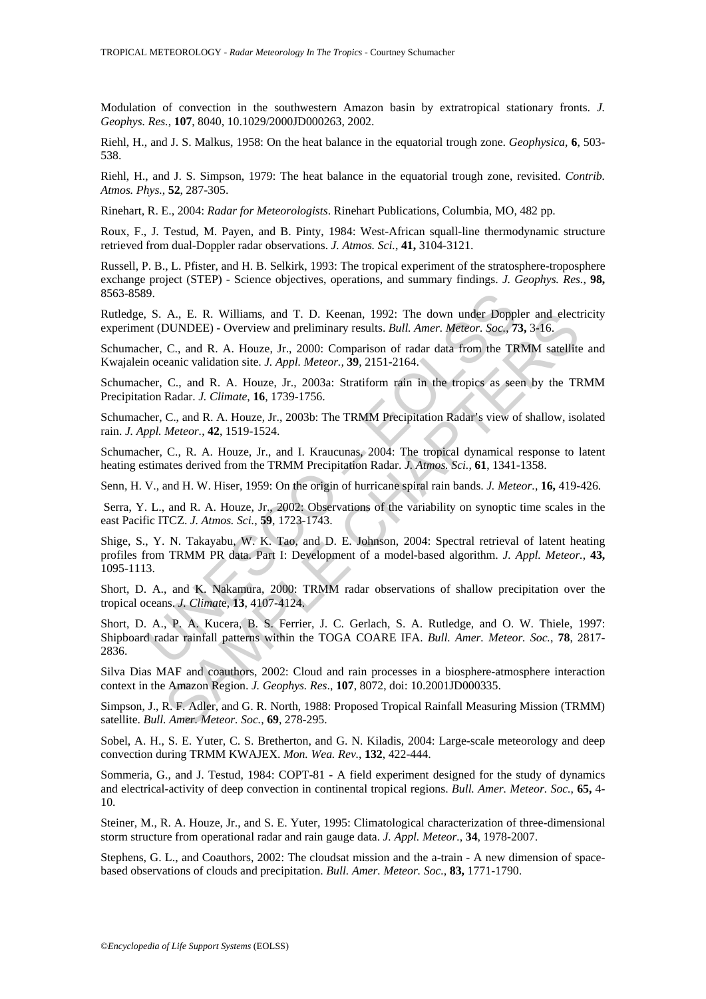Modulation of convection in the southwestern Amazon basin by extratropical stationary fronts. *J. Geophys. Res.*, **107**, 8040, 10.1029/2000JD000263, 2002.

Riehl, H., and J. S. Malkus, 1958: On the heat balance in the equatorial trough zone. *Geophysica*, **6**, 503- 538.

Riehl, H., and J. S. Simpson, 1979: The heat balance in the equatorial trough zone, revisited. *Contrib. Atmos. Phys.*, **52**, 287-305.

Rinehart, R. E., 2004: *Radar for Meteorologists*. Rinehart Publications, Columbia, MO, 482 pp.

Roux, F., J. Testud, M. Payen, and B. Pinty, 1984: West-African squall-line thermodynamic structure retrieved from dual-Doppler radar observations. *J. Atmos. Sci.*, **41,** 3104-3121.

Russell, P. B., L. Pfister, and H. B. Selkirk, 1993: The tropical experiment of the stratosphere-troposphere exchange project (STEP) - Science objectives, operations, and summary findings. *J. Geophys. Res.*, **98,** 8563-8589.

Rutledge, S. A., E. R. Williams, and T. D. Keenan, 1992: The down under Doppler and electricity experiment (DUNDEE) - Overview and preliminary results. *Bull. Amer. Meteor. Soc.*, **73,** 3-16.

Schumacher, C., and R. A. Houze, Jr., 2000: Comparison of radar data from the TRMM satellite and Kwajalein oceanic validation site. *J. Appl. Meteor.,* **39**, 2151-2164.

Schumacher, C., and R. A. Houze, Jr., 2003a: Stratiform rain in the tropics as seen by the TRMM Precipitation Radar. *J. Climate*, **16**, 1739-1756.

Schumacher, C., and R. A. Houze, Jr., 2003b: The TRMM Precipitation Radar's view of shallow, isolated rain. *J. Appl. Meteor.*, **42**, 1519-1524.

Schumacher, C., R. A. Houze, Jr., and I. Kraucunas, 2004: The tropical dynamical response to latent heating estimates derived from the TRMM Precipitation Radar. *J. Atmos. Sci.*, **61**, 1341-1358.

Senn, H. V., and H. W. Hiser, 1959: On the origin of hurricane spiral rain bands. *J. Meteor.*, **16,** 419-426.

 Serra, Y. L., and R. A. Houze, Jr., 2002: Observations of the variability on synoptic time scales in the east Pacific ITCZ. *J. Atmos. Sci.*, **59**, 1723-1743.

9.<br>
9. S. A., E. R. Williams, and T. D. Keenan, 1992: The down under Dopple<br>
Int (DUNDEE) - Overview and preliminary results. *Bull. Amer. Meteor. Soc.*, 7.<br>
her, C., and R. A. Houze, Jr., 2000: Comparison of radar data fr A., E. R. Williams, and T. D. Keenan, 1992: The down under Doppler and election.<br>DUNDEE) - Overview and preliminary results. *Bull. Amer. Meteor. Soc.*, 73, 3+6.<br>C., and R. A. Houze, Jr., 2000: Comparison of radar data fr Shige, S., Y. N. Takayabu, W. K. Tao, and D. E. Johnson, 2004: Spectral retrieval of latent heating profiles from TRMM PR data. Part I: Development of a model-based algorithm. *J. Appl. Meteor.*, **43,** 1095-1113.

Short, D. A., and K. Nakamura, 2000: TRMM radar observations of shallow precipitation over the tropical oceans. *J. Climat*e, **13**, 4107-4124.

Short, D. A., P. A. Kucera, B. S. Ferrier, J. C. Gerlach, S. A. Rutledge, and O. W. Thiele, 1997: Shipboard radar rainfall patterns within the TOGA COARE IFA. *Bull. Amer. Meteor. Soc.*, **78**, 2817- 2836.

Silva Dias MAF and coauthors, 2002: Cloud and rain processes in a biosphere-atmosphere interaction context in the Amazon Region. *J. Geophys. Res*., **107**, 8072, doi: 10.2001JD000335.

Simpson, J., R. F. Adler, and G. R. North, 1988: Proposed Tropical Rainfall Measuring Mission (TRMM) satellite. *Bull. Amer. Meteor. Soc.*, **69**, 278-295.

Sobel, A. H., S. E. Yuter, C. S. Bretherton, and G. N. Kiladis, 2004: Large-scale meteorology and deep convection during TRMM KWAJEX. *Mon. Wea. Rev.*, **132**, 422-444.

Sommeria, G., and J. Testud, 1984: COPT-81 - A field experiment designed for the study of dynamics and electrical-activity of deep convection in continental tropical regions. *Bull. Amer. Meteor. Soc.*, **65,** 4- 10.

Steiner, M., R. A. Houze, Jr., and S. E. Yuter, 1995: Climatological characterization of three-dimensional storm structure from operational radar and rain gauge data. *J. Appl. Meteor.*, **34**, 1978-2007.

Stephens, G. L., and Coauthors, 2002: The cloudsat mission and the a-train - A new dimension of spacebased observations of clouds and precipitation. *Bull. Amer. Meteor. Soc.*, **83,** 1771-1790.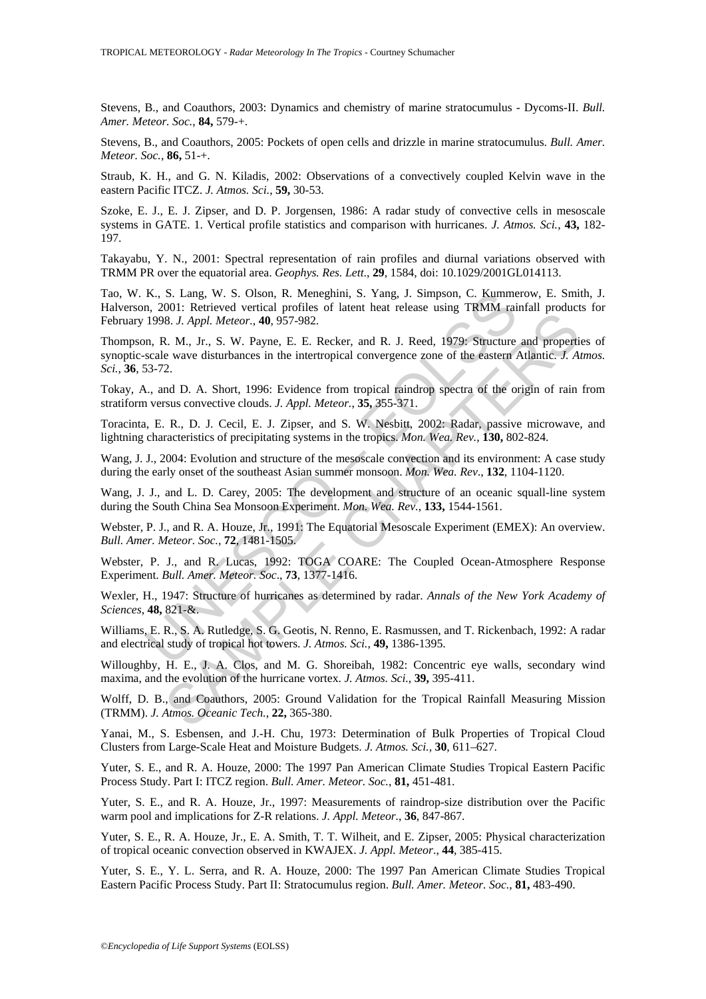Stevens, B., and Coauthors, 2003: Dynamics and chemistry of marine stratocumulus - Dycoms-II. *Bull. Amer. Meteor. Soc.*, **84,** 579-+.

Stevens, B., and Coauthors, 2005: Pockets of open cells and drizzle in marine stratocumulus. *Bull. Amer. Meteor. Soc.*, **86,** 51-+.

Straub, K. H., and G. N. Kiladis, 2002: Observations of a convectively coupled Kelvin wave in the eastern Pacific ITCZ. *J. Atmos. Sci.*, **59,** 30-53.

Szoke, E. J., E. J. Zipser, and D. P. Jorgensen, 1986: A radar study of convective cells in mesoscale systems in GATE. 1. Vertical profile statistics and comparison with hurricanes. *J. Atmos. Sci.*, **43,** 182- 197.

Takayabu, Y. N., 2001: Spectral representation of rain profiles and diurnal variations observed with TRMM PR over the equatorial area. *Geophys. Res. Lett*., **29**, 1584, doi: 10.1029/2001GL014113.

Tao, W. K., S. Lang, W. S. Olson, R. Meneghini, S. Yang, J. Simpson, C. Kummerow, E. Smith, J. Halverson, 2001: Retrieved vertical profiles of latent heat release using TRMM rainfall products for February 1998. *J. Appl. Meteor.*, **40**, 957-982.

K., S. Lang, W. S. Olson, R. Menghini, S. Yang, J. Simpson, C. Kumme<br>
1998. J. April. Meteroel vertical profiles of latent heat release using TRMM rai<br>
1998. J. Appl. Meteror., 40, 957-982.<br>
n, R. M., Jr., S. W. Payne, E. os. I. Appl. Meteor., 40, 977-982.<br>
R. J. Appl. Meteor., 40, 957-982.<br>
R. J. Appl. Meteor., 40, 957-982.<br>
N. J. R., S. W. Payne, E. E. Recker, and R. J. Reed, 1979. Structure and properties of the wave disturbances in the Thompson, R. M., Jr., S. W. Payne, E. E. Recker, and R. J. Reed, 1979: Structure and properties of synoptic-scale wave disturbances in the intertropical convergence zone of the eastern Atlantic. *J. Atmos. Sci.*, **36**, 53-72.

Tokay, A., and D. A. Short, 1996: Evidence from tropical raindrop spectra of the origin of rain from stratiform versus convective clouds. *J. Appl. Meteor.*, **35,** 355-371.

Toracinta, E. R., D. J. Cecil, E. J. Zipser, and S. W. Nesbitt, 2002: Radar, passive microwave, and lightning characteristics of precipitating systems in the tropics. *Mon. Wea. Rev.*, **130,** 802-824.

Wang, J. J., 2004: Evolution and structure of the mesoscale convection and its environment: A case study during the early onset of the southeast Asian summer monsoon. *Mon. Wea. Rev*., **132**, 1104-1120.

Wang, J. J., and L. D. Carey, 2005: The development and structure of an oceanic squall-line system during the South China Sea Monsoon Experiment. *Mon. Wea. Rev.*, **133,** 1544-1561.

Webster, P. J., and R. A. Houze, Jr., 1991: The Equatorial Mesoscale Experiment (EMEX): An overview. *Bull. Amer. Meteor. Soc.,* **72**, 1481-1505.

Webster, P. J., and R. Lucas, 1992: TOGA COARE: The Coupled Ocean-Atmosphere Response Experiment. *Bull. Amer. Meteor. Soc*., **73**, 1377-1416.

Wexler, H., 1947: Structure of hurricanes as determined by radar. *Annals of the New York Academy of Sciences*, **48,** 821-&.

Williams, E. R., S. A. Rutledge, S. G. Geotis, N. Renno, E. Rasmussen, and T. Rickenbach, 1992: A radar and electrical study of tropical hot towers. *J. Atmos. Sci.*, **49,** 1386-1395.

Willoughby, H. E., J. A. Clos, and M. G. Shoreibah, 1982: Concentric eye walls, secondary wind maxima, and the evolution of the hurricane vortex. *J. Atmos. Sci.*, **39,** 395-411.

Wolff, D. B., and Coauthors, 2005: Ground Validation for the Tropical Rainfall Measuring Mission (TRMM). *J. Atmos. Oceanic Tech.*, **22,** 365-380.

Yanai, M., S. Esbensen, and J.-H. Chu, 1973: Determination of Bulk Properties of Tropical Cloud Clusters from Large-Scale Heat and Moisture Budgets. *J. Atmos. Sci.,* **30**, 611–627.

Yuter, S. E., and R. A. Houze, 2000: The 1997 Pan American Climate Studies Tropical Eastern Pacific Process Study. Part I: ITCZ region. *Bull. Amer. Meteor. Soc.*, **81,** 451-481.

Yuter, S. E., and R. A. Houze, Jr., 1997: Measurements of raindrop-size distribution over the Pacific warm pool and implications for Z-R relations. *J. Appl. Meteor.*, **36**, 847-867.

Yuter, S. E., R. A. Houze, Jr., E. A. Smith, T. T. Wilheit, and E. Zipser, 2005: Physical characterization of tropical oceanic convection observed in KWAJEX. *J. Appl. Meteor*., **44**, 385-415.

Yuter, S. E., Y. L. Serra, and R. A. Houze, 2000: The 1997 Pan American Climate Studies Tropical Eastern Pacific Process Study. Part II: Stratocumulus region. *Bull. Amer. Meteor. Soc.*, **81,** 483-490.